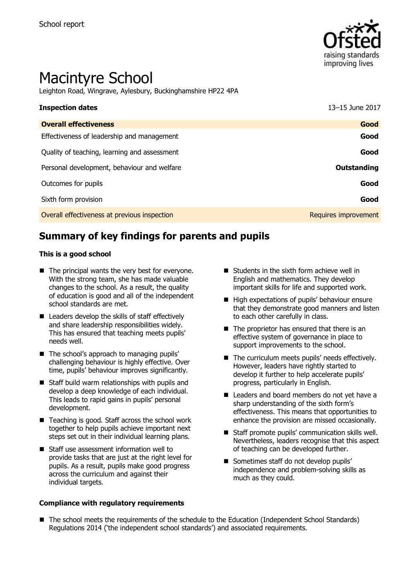

# Macintyre School

Leighton Road, Wingrave, Aylesbury, Buckinghamshire HP22 4PA

| <b>Inspection dates</b>                      | 13-15 June 2017      |
|----------------------------------------------|----------------------|
| <b>Overall effectiveness</b>                 | Good                 |
| Effectiveness of leadership and management   | Good                 |
| Quality of teaching, learning and assessment | Good                 |
| Personal development, behaviour and welfare  | Outstanding          |
| Outcomes for pupils                          | Good                 |
| Sixth form provision                         | Good                 |
| Overall effectiveness at previous inspection | Requires improvement |

# **Summary of key findings for parents and pupils**

#### **This is a good school**

- $\blacksquare$  The principal wants the very best for everyone. With the strong team, she has made valuable changes to the school. As a result, the quality of education is good and all of the independent school standards are met.
- $\blacksquare$  Leaders develop the skills of staff effectively and share leadership responsibilities widely. This has ensured that teaching meets pupils' needs well.
- The school's approach to managing pupils' challenging behaviour is highly effective. Over time, pupils' behaviour improves significantly.
- Staff build warm relationships with pupils and develop a deep knowledge of each individual. This leads to rapid gains in pupils' personal development.
- Teaching is good. Staff across the school work together to help pupils achieve important next steps set out in their individual learning plans.
- Staff use assessment information well to provide tasks that are just at the right level for pupils. As a result, pupils make good progress across the curriculum and against their individual targets.

#### **Compliance with regulatory requirements**

- $\blacksquare$  Students in the sixth form achieve well in English and mathematics. They develop important skills for life and supported work.
- High expectations of pupils' behaviour ensure that they demonstrate good manners and listen to each other carefully in class.
- $\blacksquare$  The proprietor has ensured that there is an effective system of governance in place to support improvements to the school.
- The curriculum meets pupils' needs effectively. However, leaders have rightly started to develop it further to help accelerate pupils' progress, particularly in English.
- Leaders and board members do not yet have a sharp understanding of the sixth form's effectiveness. This means that opportunities to enhance the provision are missed occasionally.
- Staff promote pupils' communication skills well. Nevertheless, leaders recognise that this aspect of teaching can be developed further.
- Sometimes staff do not develop pupils' independence and problem-solving skills as much as they could.
- The school meets the requirements of the schedule to the Education (Independent School Standards) Regulations 2014 ('the independent school standards') and associated requirements.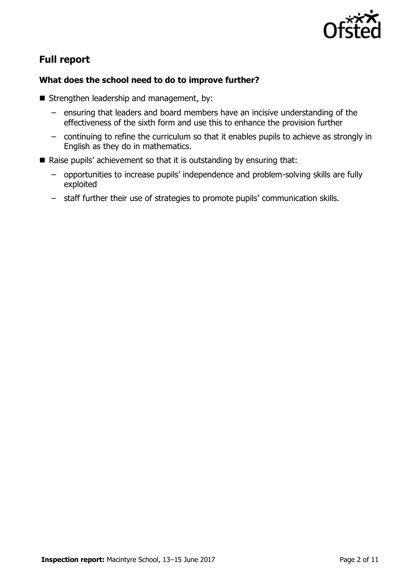

# **Full report**

#### **What does the school need to do to improve further?**

- Strengthen leadership and management, by:
	- ensuring that leaders and board members have an incisive understanding of the effectiveness of the sixth form and use this to enhance the provision further
	- continuing to refine the curriculum so that it enables pupils to achieve as strongly in English as they do in mathematics.
- Raise pupils' achievement so that it is outstanding by ensuring that:
	- opportunities to increase pupils' independence and problem-solving skills are fully exploited
	- staff further their use of strategies to promote pupils' communication skills.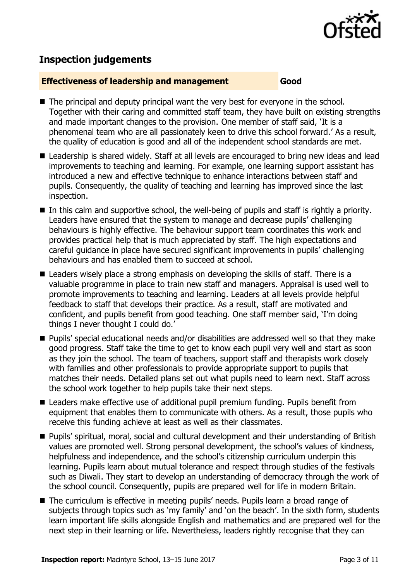

## **Inspection judgements**

#### **Effectiveness of leadership and management Good**

- The principal and deputy principal want the very best for everyone in the school. Together with their caring and committed staff team, they have built on existing strengths and made important changes to the provision. One member of staff said, 'It is a phenomenal team who are all passionately keen to drive this school forward.' As a result, the quality of education is good and all of the independent school standards are met.
- Leadership is shared widely. Staff at all levels are encouraged to bring new ideas and lead improvements to teaching and learning. For example, one learning support assistant has introduced a new and effective technique to enhance interactions between staff and pupils. Consequently, the quality of teaching and learning has improved since the last inspection.
- $\blacksquare$  In this calm and supportive school, the well-being of pupils and staff is rightly a priority. Leaders have ensured that the system to manage and decrease pupils' challenging behaviours is highly effective. The behaviour support team coordinates this work and provides practical help that is much appreciated by staff. The high expectations and careful guidance in place have secured significant improvements in pupils' challenging behaviours and has enabled them to succeed at school.
- Leaders wisely place a strong emphasis on developing the skills of staff. There is a valuable programme in place to train new staff and managers. Appraisal is used well to promote improvements to teaching and learning. Leaders at all levels provide helpful feedback to staff that develops their practice. As a result, staff are motivated and confident, and pupils benefit from good teaching. One staff member said, 'I'm doing things I never thought I could do.'
- Pupils' special educational needs and/or disabilities are addressed well so that they make good progress. Staff take the time to get to know each pupil very well and start as soon as they join the school. The team of teachers, support staff and therapists work closely with families and other professionals to provide appropriate support to pupils that matches their needs. Detailed plans set out what pupils need to learn next. Staff across the school work together to help pupils take their next steps.
- Leaders make effective use of additional pupil premium funding. Pupils benefit from equipment that enables them to communicate with others. As a result, those pupils who receive this funding achieve at least as well as their classmates.
- **Pupils' spiritual, moral, social and cultural development and their understanding of British** values are promoted well. Strong personal development, the school's values of kindness, helpfulness and independence, and the school's citizenship curriculum underpin this learning. Pupils learn about mutual tolerance and respect through studies of the festivals such as Diwali. They start to develop an understanding of democracy through the work of the school council. Consequently, pupils are prepared well for life in modern Britain.
- The curriculum is effective in meeting pupils' needs. Pupils learn a broad range of subjects through topics such as 'my family' and 'on the beach'. In the sixth form, students learn important life skills alongside English and mathematics and are prepared well for the next step in their learning or life. Nevertheless, leaders rightly recognise that they can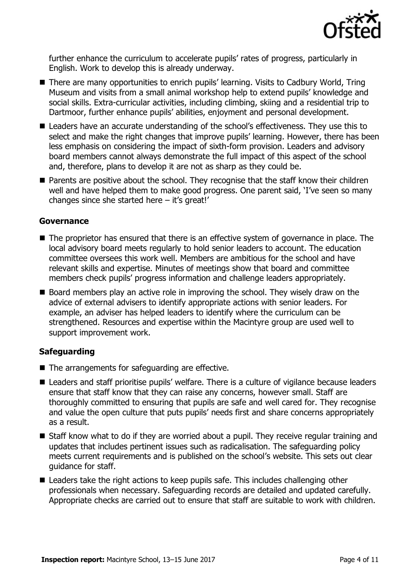

further enhance the curriculum to accelerate pupils' rates of progress, particularly in English. Work to develop this is already underway.

- There are many opportunities to enrich pupils' learning. Visits to Cadbury World, Tring Museum and visits from a small animal workshop help to extend pupils' knowledge and social skills. Extra-curricular activities, including climbing, skiing and a residential trip to Dartmoor, further enhance pupils' abilities, enjoyment and personal development.
- Leaders have an accurate understanding of the school's effectiveness. They use this to select and make the right changes that improve pupils' learning. However, there has been less emphasis on considering the impact of sixth-form provision. Leaders and advisory board members cannot always demonstrate the full impact of this aspect of the school and, therefore, plans to develop it are not as sharp as they could be.
- **Parents are positive about the school. They recognise that the staff know their children** well and have helped them to make good progress. One parent said, 'I've seen so many changes since she started here – it's great!'

#### **Governance**

- The proprietor has ensured that there is an effective system of governance in place. The local advisory board meets regularly to hold senior leaders to account. The education committee oversees this work well. Members are ambitious for the school and have relevant skills and expertise. Minutes of meetings show that board and committee members check pupils' progress information and challenge leaders appropriately.
- Board members play an active role in improving the school. They wisely draw on the advice of external advisers to identify appropriate actions with senior leaders. For example, an adviser has helped leaders to identify where the curriculum can be strengthened. Resources and expertise within the Macintyre group are used well to support improvement work.

### **Safeguarding**

- $\blacksquare$  The arrangements for safeguarding are effective.
- Leaders and staff prioritise pupils' welfare. There is a culture of vigilance because leaders ensure that staff know that they can raise any concerns, however small. Staff are thoroughly committed to ensuring that pupils are safe and well cared for. They recognise and value the open culture that puts pupils' needs first and share concerns appropriately as a result.
- Staff know what to do if they are worried about a pupil. They receive regular training and updates that includes pertinent issues such as radicalisation. The safeguarding policy meets current requirements and is published on the school's website. This sets out clear guidance for staff.
- Leaders take the right actions to keep pupils safe. This includes challenging other professionals when necessary. Safeguarding records are detailed and updated carefully. Appropriate checks are carried out to ensure that staff are suitable to work with children.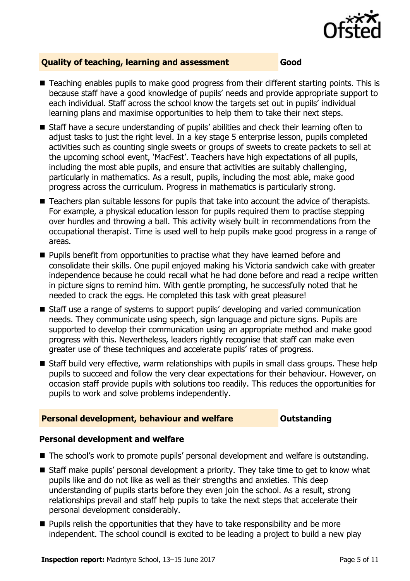

#### **Quality of teaching, learning and assessment Good**

- Teaching enables pupils to make good progress from their different starting points. This is because staff have a good knowledge of pupils' needs and provide appropriate support to each individual. Staff across the school know the targets set out in pupils' individual learning plans and maximise opportunities to help them to take their next steps.
- Staff have a secure understanding of pupils' abilities and check their learning often to adjust tasks to just the right level. In a key stage 5 enterprise lesson, pupils completed activities such as counting single sweets or groups of sweets to create packets to sell at the upcoming school event, 'MacFest'. Teachers have high expectations of all pupils, including the most able pupils, and ensure that activities are suitably challenging, particularly in mathematics. As a result, pupils, including the most able, make good progress across the curriculum. Progress in mathematics is particularly strong.
- Teachers plan suitable lessons for pupils that take into account the advice of therapists. For example, a physical education lesson for pupils required them to practise stepping over hurdles and throwing a ball. This activity wisely built in recommendations from the occupational therapist. Time is used well to help pupils make good progress in a range of areas.
- **Pupils benefit from opportunities to practise what they have learned before and** consolidate their skills. One pupil enjoyed making his Victoria sandwich cake with greater independence because he could recall what he had done before and read a recipe written in picture signs to remind him. With gentle prompting, he successfully noted that he needed to crack the eggs. He completed this task with great pleasure!
- Staff use a range of systems to support pupils' developing and varied communication needs. They communicate using speech, sign language and picture signs. Pupils are supported to develop their communication using an appropriate method and make good progress with this. Nevertheless, leaders rightly recognise that staff can make even greater use of these techniques and accelerate pupils' rates of progress.
- Staff build very effective, warm relationships with pupils in small class groups. These help pupils to succeed and follow the very clear expectations for their behaviour. However, on occasion staff provide pupils with solutions too readily. This reduces the opportunities for pupils to work and solve problems independently.

#### **Personal development, behaviour and welfare <b>COU COUTS** Outstanding

#### **Personal development and welfare**

- The school's work to promote pupils' personal development and welfare is outstanding.
- Staff make pupils' personal development a priority. They take time to get to know what pupils like and do not like as well as their strengths and anxieties. This deep understanding of pupils starts before they even join the school. As a result, strong relationships prevail and staff help pupils to take the next steps that accelerate their personal development considerably.
- $\blacksquare$  Pupils relish the opportunities that they have to take responsibility and be more independent. The school council is excited to be leading a project to build a new play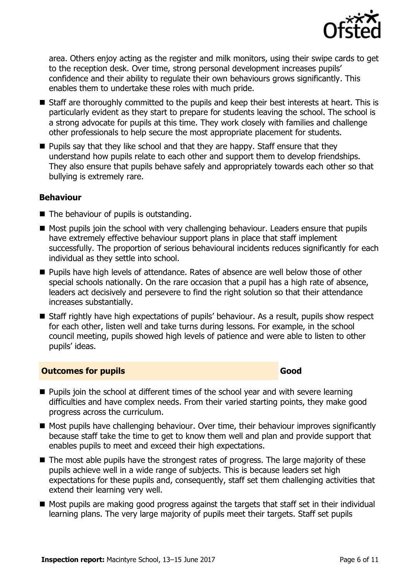

area. Others enjoy acting as the register and milk monitors, using their swipe cards to get to the reception desk. Over time, strong personal development increases pupils' confidence and their ability to regulate their own behaviours grows significantly. This enables them to undertake these roles with much pride.

- Staff are thoroughly committed to the pupils and keep their best interests at heart. This is particularly evident as they start to prepare for students leaving the school. The school is a strong advocate for pupils at this time. They work closely with families and challenge other professionals to help secure the most appropriate placement for students.
- $\blacksquare$  Pupils say that they like school and that they are happy. Staff ensure that they understand how pupils relate to each other and support them to develop friendships. They also ensure that pupils behave safely and appropriately towards each other so that bullying is extremely rare.

#### **Behaviour**

- $\blacksquare$  The behaviour of pupils is outstanding.
- Most pupils join the school with very challenging behaviour. Leaders ensure that pupils have extremely effective behaviour support plans in place that staff implement successfully. The proportion of serious behavioural incidents reduces significantly for each individual as they settle into school.
- **Pupils have high levels of attendance. Rates of absence are well below those of other** special schools nationally. On the rare occasion that a pupil has a high rate of absence, leaders act decisively and persevere to find the right solution so that their attendance increases substantially.
- Staff rightly have high expectations of pupils' behaviour. As a result, pupils show respect for each other, listen well and take turns during lessons. For example, in the school council meeting, pupils showed high levels of patience and were able to listen to other pupils' ideas.

#### **Outcomes for pupils Good Good**

- **Pupils join the school at different times of the school year and with severe learning** difficulties and have complex needs. From their varied starting points, they make good progress across the curriculum.
- Most pupils have challenging behaviour. Over time, their behaviour improves significantly because staff take the time to get to know them well and plan and provide support that enables pupils to meet and exceed their high expectations.
- The most able pupils have the strongest rates of progress. The large majority of these pupils achieve well in a wide range of subjects. This is because leaders set high expectations for these pupils and, consequently, staff set them challenging activities that extend their learning very well.
- Most pupils are making good progress against the targets that staff set in their individual learning plans. The very large majority of pupils meet their targets. Staff set pupils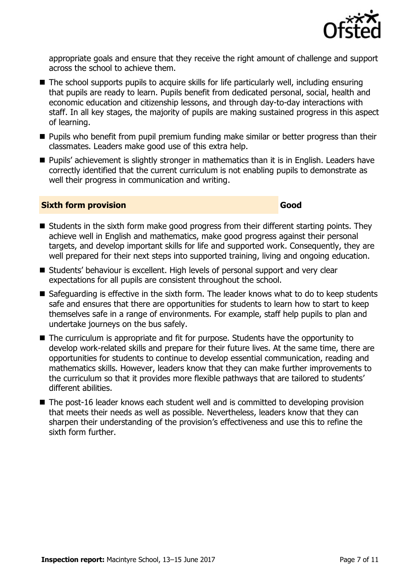

appropriate goals and ensure that they receive the right amount of challenge and support across the school to achieve them.

- $\blacksquare$  The school supports pupils to acquire skills for life particularly well, including ensuring that pupils are ready to learn. Pupils benefit from dedicated personal, social, health and economic education and citizenship lessons, and through day-to-day interactions with staff. In all key stages, the majority of pupils are making sustained progress in this aspect of learning.
- **Pupils who benefit from pupil premium funding make similar or better progress than their** classmates. Leaders make good use of this extra help.
- **Pupils'** achievement is slightly stronger in mathematics than it is in English. Leaders have correctly identified that the current curriculum is not enabling pupils to demonstrate as well their progress in communication and writing.

#### **Sixth form provision Good**

- $\blacksquare$  Students in the sixth form make good progress from their different starting points. They achieve well in English and mathematics, make good progress against their personal targets, and develop important skills for life and supported work. Consequently, they are well prepared for their next steps into supported training, living and ongoing education.
- Students' behaviour is excellent. High levels of personal support and very clear expectations for all pupils are consistent throughout the school.
- Safeguarding is effective in the sixth form. The leader knows what to do to keep students safe and ensures that there are opportunities for students to learn how to start to keep themselves safe in a range of environments. For example, staff help pupils to plan and undertake journeys on the bus safely.
- The curriculum is appropriate and fit for purpose. Students have the opportunity to develop work-related skills and prepare for their future lives. At the same time, there are opportunities for students to continue to develop essential communication, reading and mathematics skills. However, leaders know that they can make further improvements to the curriculum so that it provides more flexible pathways that are tailored to students' different abilities.
- The post-16 leader knows each student well and is committed to developing provision that meets their needs as well as possible. Nevertheless, leaders know that they can sharpen their understanding of the provision's effectiveness and use this to refine the sixth form further.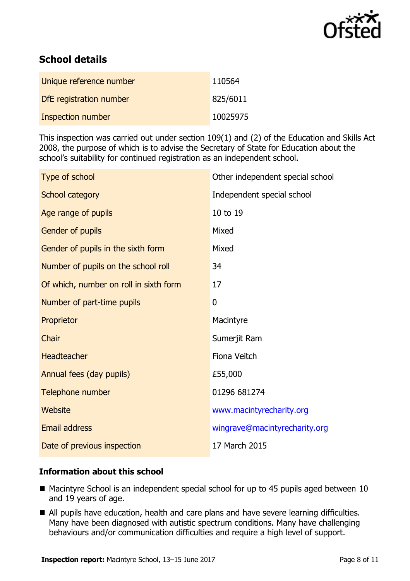

# **School details**

| Unique reference number | 110564   |
|-------------------------|----------|
| DfE registration number | 825/6011 |
| Inspection number       | 10025975 |

This inspection was carried out under section 109(1) and (2) of the Education and Skills Act 2008, the purpose of which is to advise the Secretary of State for Education about the school's suitability for continued registration as an independent school.

| Type of school                         | Other independent special school |
|----------------------------------------|----------------------------------|
| School category                        | Independent special school       |
| Age range of pupils                    | 10 to 19                         |
| Gender of pupils                       | Mixed                            |
| Gender of pupils in the sixth form     | Mixed                            |
| Number of pupils on the school roll    | 34                               |
| Of which, number on roll in sixth form | 17                               |
| Number of part-time pupils             | 0                                |
|                                        |                                  |
| Proprietor                             | Macintyre                        |
| Chair                                  | Sumerjit Ram                     |
| Headteacher                            | Fiona Veitch                     |
| Annual fees (day pupils)               | £55,000                          |
| Telephone number                       | 01296 681274                     |
| Website                                | www.macintyrecharity.org         |
| <b>Email address</b>                   | wingrave@macintyrecharity.org    |

#### **Information about this school**

- Macintyre School is an independent special school for up to 45 pupils aged between 10 and 19 years of age.
- All pupils have education, health and care plans and have severe learning difficulties. Many have been diagnosed with autistic spectrum conditions. Many have challenging behaviours and/or communication difficulties and require a high level of support.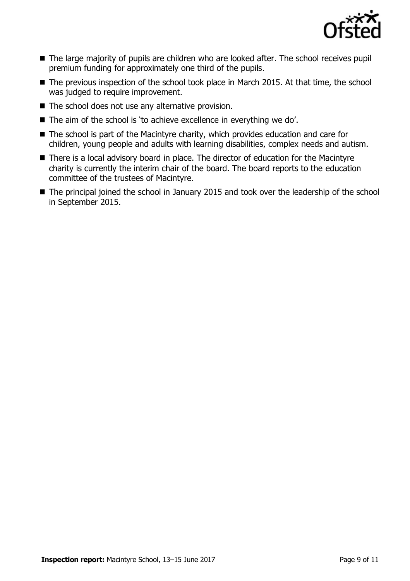

- The large majority of pupils are children who are looked after. The school receives pupil premium funding for approximately one third of the pupils.
- The previous inspection of the school took place in March 2015. At that time, the school was judged to require improvement.
- $\blacksquare$  The school does not use any alternative provision.
- The aim of the school is 'to achieve excellence in everything we do'.
- The school is part of the Macintyre charity, which provides education and care for children, young people and adults with learning disabilities, complex needs and autism.
- There is a local advisory board in place. The director of education for the Macintyre charity is currently the interim chair of the board. The board reports to the education committee of the trustees of Macintyre.
- The principal joined the school in January 2015 and took over the leadership of the school in September 2015.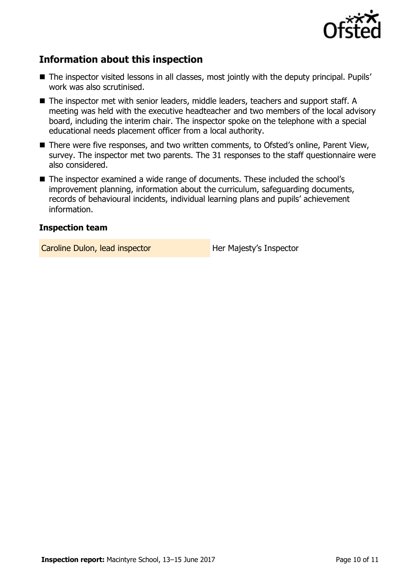

# **Information about this inspection**

- The inspector visited lessons in all classes, most jointly with the deputy principal. Pupils' work was also scrutinised.
- The inspector met with senior leaders, middle leaders, teachers and support staff. A meeting was held with the executive headteacher and two members of the local advisory board, including the interim chair. The inspector spoke on the telephone with a special educational needs placement officer from a local authority.
- There were five responses, and two written comments, to Ofsted's online, Parent View, survey. The inspector met two parents. The 31 responses to the staff questionnaire were also considered.
- The inspector examined a wide range of documents. These included the school's improvement planning, information about the curriculum, safeguarding documents, records of behavioural incidents, individual learning plans and pupils' achievement information.

#### **Inspection team**

Caroline Dulon, lead inspector **Her Majesty's Inspector**